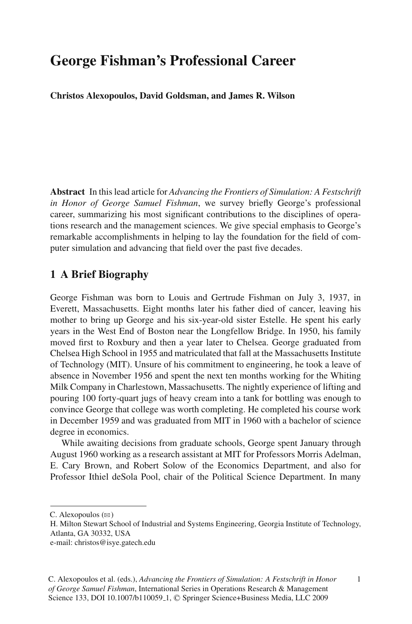# **George Fishman's Professional Career**

**Christos Alexopoulos, David Goldsman, and James R. Wilson**

**Abstract** In this lead article for *Advancing the Frontiers of Simulation: A Festschrift in Honor of George Samuel Fishman*, we survey briefly George's professional career, summarizing his most significant contributions to the disciplines of operations research and the management sciences. We give special emphasis to George's remarkable accomplishments in helping to lay the foundation for the field of computer simulation and advancing that field over the past five decades.

# **1 A Brief Biography**

George Fishman was born to Louis and Gertrude Fishman on July 3, 1937, in Everett, Massachusetts. Eight months later his father died of cancer, leaving his mother to bring up George and his six-year-old sister Estelle. He spent his early years in the West End of Boston near the Longfellow Bridge. In 1950, his family moved first to Roxbury and then a year later to Chelsea. George graduated from Chelsea High School in 1955 and matriculated that fall at the Massachusetts Institute of Technology (MIT). Unsure of his commitment to engineering, he took a leave of absence in November 1956 and spent the next ten months working for the Whiting Milk Company in Charlestown, Massachusetts. The nightly experience of lifting and pouring 100 forty-quart jugs of heavy cream into a tank for bottling was enough to convince George that college was worth completing. He completed his course work in December 1959 and was graduated from MIT in 1960 with a bachelor of science degree in economics.

While awaiting decisions from graduate schools, George spent January through August 1960 working as a research assistant at MIT for Professors Morris Adelman, E. Cary Brown, and Robert Solow of the Economics Department, and also for Professor Ithiel deSola Pool, chair of the Political Science Department. In many

1

C. Alexopoulos  $(\boxtimes)$ 

H. Milton Stewart School of Industrial and Systems Engineering, Georgia Institute of Technology, Atlanta, GA 30332, USA

e-mail: christos@isye.gatech.edu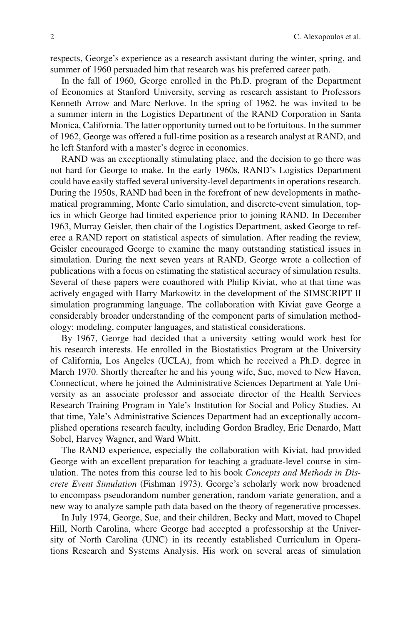respects, George's experience as a research assistant during the winter, spring, and summer of 1960 persuaded him that research was his preferred career path.

In the fall of 1960, George enrolled in the Ph.D. program of the Department of Economics at Stanford University, serving as research assistant to Professors Kenneth Arrow and Marc Nerlove. In the spring of 1962, he was invited to be a summer intern in the Logistics Department of the RAND Corporation in Santa Monica, California. The latter opportunity turned out to be fortuitous. In the summer of 1962, George was offered a full-time position as a research analyst at RAND, and he left Stanford with a master's degree in economics.

RAND was an exceptionally stimulating place, and the decision to go there was not hard for George to make. In the early 1960s, RAND's Logistics Department could have easily staffed several university-level departments in operations research. During the 1950s, RAND had been in the forefront of new developments in mathematical programming, Monte Carlo simulation, and discrete-event simulation, topics in which George had limited experience prior to joining RAND. In December 1963, Murray Geisler, then chair of the Logistics Department, asked George to referee a RAND report on statistical aspects of simulation. After reading the review, Geisler encouraged George to examine the many outstanding statistical issues in simulation. During the next seven years at RAND, George wrote a collection of publications with a focus on estimating the statistical accuracy of simulation results. Several of these papers were coauthored with Philip Kiviat, who at that time was actively engaged with Harry Markowitz in the development of the SIMSCRIPT II simulation programming language. The collaboration with Kiviat gave George a considerably broader understanding of the component parts of simulation methodology: modeling, computer languages, and statistical considerations.

By 1967, George had decided that a university setting would work best for his research interests. He enrolled in the Biostatistics Program at the University of California, Los Angeles (UCLA), from which he received a Ph.D. degree in March 1970. Shortly thereafter he and his young wife, Sue, moved to New Haven, Connecticut, where he joined the Administrative Sciences Department at Yale University as an associate professor and associate director of the Health Services Research Training Program in Yale's Institution for Social and Policy Studies. At that time, Yale's Administrative Sciences Department had an exceptionally accomplished operations research faculty, including Gordon Bradley, Eric Denardo, Matt Sobel, Harvey Wagner, and Ward Whitt.

The RAND experience, especially the collaboration with Kiviat, had provided George with an excellent preparation for teaching a graduate-level course in simulation. The notes from this course led to his book *Concepts and Methods in Discrete Event Simulation* [\(Fishman 1973\)](#page-16-0). George's scholarly work now broadened to encompass pseudorandom number generation, random variate generation, and a new way to analyze sample path data based on the theory of regenerative processes.

In July 1974, George, Sue, and their children, Becky and Matt, moved to Chapel Hill, North Carolina, where George had accepted a professorship at the University of North Carolina (UNC) in its recently established Curriculum in Operations Research and Systems Analysis. His work on several areas of simulation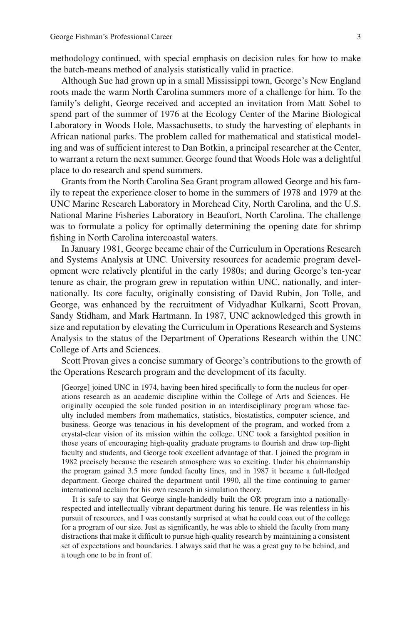methodology continued, with special emphasis on decision rules for how to make the batch-means method of analysis statistically valid in practice.

Although Sue had grown up in a small Mississippi town, George's New England roots made the warm North Carolina summers more of a challenge for him. To the family's delight, George received and accepted an invitation from Matt Sobel to spend part of the summer of 1976 at the Ecology Center of the Marine Biological Laboratory in Woods Hole, Massachusetts, to study the harvesting of elephants in African national parks. The problem called for mathematical and statistical modeling and was of sufficient interest to Dan Botkin, a principal researcher at the Center, to warrant a return the next summer. George found that Woods Hole was a delightful place to do research and spend summers.

Grants from the North Carolina Sea Grant program allowed George and his family to repeat the experience closer to home in the summers of 1978 and 1979 at the UNC Marine Research Laboratory in Morehead City, North Carolina, and the U.S. National Marine Fisheries Laboratory in Beaufort, North Carolina. The challenge was to formulate a policy for optimally determining the opening date for shrimp fishing in North Carolina intercoastal waters.

In January 1981, George became chair of the Curriculum in Operations Research and Systems Analysis at UNC. University resources for academic program development were relatively plentiful in the early 1980s; and during George's ten-year tenure as chair, the program grew in reputation within UNC, nationally, and internationally. Its core faculty, originally consisting of David Rubin, Jon Tolle, and George, was enhanced by the recruitment of Vidyadhar Kulkarni, Scott Provan, Sandy Stidham, and Mark Hartmann. In 1987, UNC acknowledged this growth in size and reputation by elevating the Curriculum in Operations Research and Systems Analysis to the status of the Department of Operations Research within the UNC College of Arts and Sciences.

Scott Provan gives a concise summary of George's contributions to the growth of the Operations Research program and the development of its faculty.

[George] joined UNC in 1974, having been hired specifically to form the nucleus for operations research as an academic discipline within the College of Arts and Sciences. He originally occupied the sole funded position in an interdisciplinary program whose faculty included members from mathematics, statistics, biostatistics, computer science, and business. George was tenacious in his development of the program, and worked from a crystal-clear vision of its mission within the college. UNC took a farsighted position in those years of encouraging high-quality graduate programs to flourish and draw top-flight faculty and students, and George took excellent advantage of that. I joined the program in 1982 precisely because the research atmosphere was so exciting. Under his chairmanship the program gained 3.5 more funded faculty lines, and in 1987 it became a full-fledged department. George chaired the department until 1990, all the time continuing to garner international acclaim for his own research in simulation theory.

It is safe to say that George single-handedly built the OR program into a nationallyrespected and intellectually vibrant department during his tenure. He was relentless in his pursuit of resources, and I was constantly surprised at what he could coax out of the college for a program of our size. Just as significantly, he was able to shield the faculty from many distractions that make it difficult to pursue high-quality research by maintaining a consistent set of expectations and boundaries. I always said that he was a great guy to be behind, and a tough one to be in front of.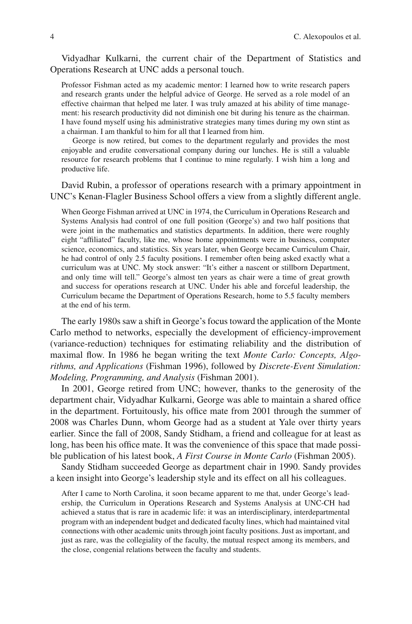Vidyadhar Kulkarni, the current chair of the Department of Statistics and Operations Research at UNC adds a personal touch.

Professor Fishman acted as my academic mentor: I learned how to write research papers and research grants under the helpful advice of George. He served as a role model of an effective chairman that helped me later. I was truly amazed at his ability of time management: his research productivity did not diminish one bit during his tenure as the chairman. I have found myself using his administrative strategies many times during my own stint as a chairman. I am thankful to him for all that I learned from him.

George is now retired, but comes to the department regularly and provides the most enjoyable and erudite conversational company during our lunches. He is still a valuable resource for research problems that I continue to mine regularly. I wish him a long and productive life.

David Rubin, a professor of operations research with a primary appointment in UNC's Kenan-Flagler Business School offers a view from a slightly different angle.

When George Fishman arrived at UNC in 1974, the Curriculum in Operations Research and Systems Analysis had control of one full position (George's) and two half positions that were joint in the mathematics and statistics departments. In addition, there were roughly eight "affiliated" faculty, like me, whose home appointments were in business, computer science, economics, and statistics. Six years later, when George became Curriculum Chair, he had control of only 2.5 faculty positions. I remember often being asked exactly what a curriculum was at UNC. My stock answer: "It's either a nascent or stillborn Department, and only time will tell." George's almost ten years as chair were a time of great growth and success for operations research at UNC. Under his able and forceful leadership, the Curriculum became the Department of Operations Research, home to 5.5 faculty members at the end of his term.

The early 1980s saw a shift in George's focus toward the application of the Monte Carlo method to networks, especially the development of efficiency-improvement (variance-reduction) techniques for estimating reliability and the distribution of maximal flow. In 1986 he began writing the text *Monte Carlo: Concepts, Algorithms, and Applications* [\(Fishman 1996](#page-16-1)), followed by *Discrete-Event Simulation: Modeling, Programming, and Analysis* [\(Fishman 2001](#page-16-2)).

In 2001, George retired from UNC; however, thanks to the generosity of the department chair, Vidyadhar Kulkarni, George was able to maintain a shared office in the department. Fortuitously, his office mate from 2001 through the summer of 2008 was Charles Dunn, whom George had as a student at Yale over thirty years earlier. Since the fall of 2008, Sandy Stidham, a friend and colleague for at least as long, has been his office mate. It was the convenience of this space that made possible publication of his latest book, *A First Course in Monte Carlo* [\(Fishman 2005\)](#page-16-3).

Sandy Stidham succeeded George as department chair in 1990. Sandy provides a keen insight into George's leadership style and its effect on all his colleagues.

After I came to North Carolina, it soon became apparent to me that, under George's leadership, the Curriculum in Operations Research and Systems Analysis at UNC-CH had achieved a status that is rare in academic life: it was an interdisciplinary, interdepartmental program with an independent budget and dedicated faculty lines, which had maintained vital connections with other academic units through joint faculty positions. Just as important, and just as rare, was the collegiality of the faculty, the mutual respect among its members, and the close, congenial relations between the faculty and students.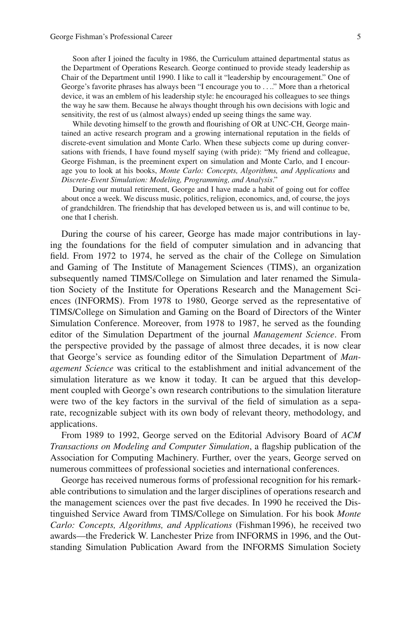Soon after I joined the faculty in 1986, the Curriculum attained departmental status as the Department of Operations Research. George continued to provide steady leadership as Chair of the Department until 1990. I like to call it "leadership by encouragement." One of George's favorite phrases has always been "I encourage you to ...." More than a rhetorical device, it was an emblem of his leadership style: he encouraged his colleagues to see things the way he saw them. Because he always thought through his own decisions with logic and sensitivity, the rest of us (almost always) ended up seeing things the same way.

While devoting himself to the growth and flourishing of OR at UNC-CH, George maintained an active research program and a growing international reputation in the fields of discrete-event simulation and Monte Carlo. When these subjects come up during conversations with friends, I have found myself saying (with pride): "My friend and colleague, George Fishman, is the preeminent expert on simulation and Monte Carlo, and I encourage you to look at his books, *Monte Carlo: Concepts, Algorithms, and Applications* and *Discrete-Event Simulation: Modeling, Programming, and Analysis*."

During our mutual retirement, George and I have made a habit of going out for coffee about once a week. We discuss music, politics, religion, economics, and, of course, the joys of grandchildren. The friendship that has developed between us is, and will continue to be, one that I cherish.

During the course of his career, George has made major contributions in laying the foundations for the field of computer simulation and in advancing that field. From 1972 to 1974, he served as the chair of the College on Simulation and Gaming of The Institute of Management Sciences (TIMS), an organization subsequently named TIMS/College on Simulation and later renamed the Simulation Society of the Institute for Operations Research and the Management Sciences (INFORMS). From 1978 to 1980, George served as the representative of TIMS/College on Simulation and Gaming on the Board of Directors of the Winter Simulation Conference. Moreover, from 1978 to 1987, he served as the founding editor of the Simulation Department of the journal *Management Science*. From the perspective provided by the passage of almost three decades, it is now clear that George's service as founding editor of the Simulation Department of *Management Science* was critical to the establishment and initial advancement of the simulation literature as we know it today. It can be argued that this development coupled with George's own research contributions to the simulation literature were two of the key factors in the survival of the field of simulation as a separate, recognizable subject with its own body of relevant theory, methodology, and applications.

From 1989 to 1992, George served on the Editorial Advisory Board of *ACM Transactions on Modeling and Computer Simulation*, a flagship publication of the Association for Computing Machinery. Further, over the years, George served on numerous committees of professional societies and international conferences.

George has received numerous forms of professional recognition for his remarkable contributions to simulation and the larger disciplines of operations research and the management sciences over the past five decades. In 1990 he received the Distinguished Service Award from TIMS/College on Simulation. For his book *Monte Carlo: Concepts, Algorithms, and Applications* [\(Fishman1996\)](#page-16-1), he received two awards—the Frederick W. Lanchester Prize from INFORMS in 1996, and the Outstanding Simulation Publication Award from the INFORMS Simulation Society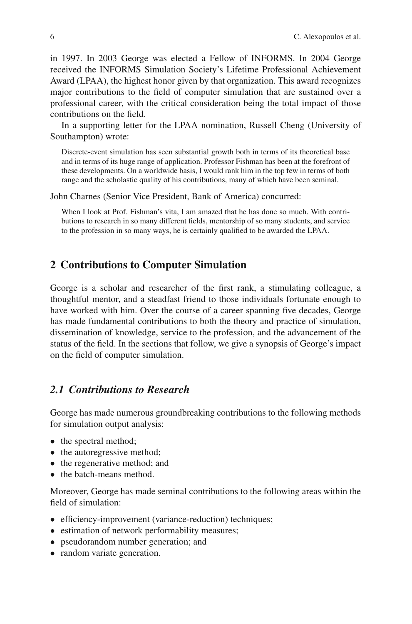in 1997. In 2003 George was elected a Fellow of INFORMS. In 2004 George received the INFORMS Simulation Society's Lifetime Professional Achievement Award (LPAA), the highest honor given by that organization. This award recognizes major contributions to the field of computer simulation that are sustained over a professional career, with the critical consideration being the total impact of those contributions on the field.

In a supporting letter for the LPAA nomination, Russell Cheng (University of Southampton) wrote:

Discrete-event simulation has seen substantial growth both in terms of its theoretical base and in terms of its huge range of application. Professor Fishman has been at the forefront of these developments. On a worldwide basis, I would rank him in the top few in terms of both range and the scholastic quality of his contributions, many of which have been seminal.

John Charnes (Senior Vice President, Bank of America) concurred:

When I look at Prof. Fishman's vita, I am amazed that he has done so much. With contributions to research in so many different fields, mentorship of so many students, and service to the profession in so many ways, he is certainly qualified to be awarded the LPAA.

# **2 Contributions to Computer Simulation**

George is a scholar and researcher of the first rank, a stimulating colleague, a thoughtful mentor, and a steadfast friend to those individuals fortunate enough to have worked with him. Over the course of a career spanning five decades, George has made fundamental contributions to both the theory and practice of simulation, dissemination of knowledge, service to the profession, and the advancement of the status of the field. In the sections that follow, we give a synopsis of George's impact on the field of computer simulation.

# *2.1 Contributions to Research*

George has made numerous groundbreaking contributions to the following methods for simulation output analysis:

- the spectral method;
- the autoregressive method;
- the regenerative method; and
- the batch-means method.

Moreover, George has made seminal contributions to the following areas within the field of simulation:

- efficiency-improvement (variance-reduction) techniques;
- estimation of network performability measures;
- pseudorandom number generation; and
- random variate generation.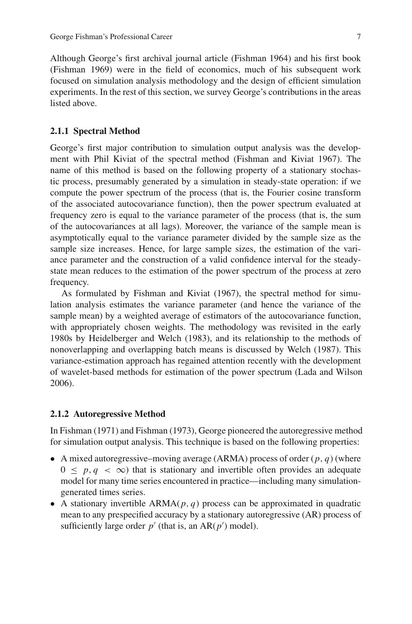Although George's first archival journal article [\(Fishman 1964](#page-16-4)) and his first book [\(Fishman 1969\)](#page-16-5) were in the field of economics, much of his subsequent work focused on simulation analysis methodology and the design of efficient simulation experiments. In the rest of this section, we survey George's contributions in the areas listed above.

#### **2.1.1 Spectral Method**

George's first major contribution to simulation output analysis was the development with Phil Kiviat of the spectral method [\(Fishman and Kiviat 1967](#page-16-6)). The name of this method is based on the following property of a stationary stochastic process, presumably generated by a simulation in steady-state operation: if we compute the power spectrum of the process (that is, the Fourier cosine transform of the associated autocovariance function), then the power spectrum evaluated at frequency zero is equal to the variance parameter of the process (that is, the sum of the autocovariances at all lags). Moreover, the variance of the sample mean is asymptotically equal to the variance parameter divided by the sample size as the sample size increases. Hence, for large sample sizes, the estimation of the variance parameter and the construction of a valid confidence interval for the steadystate mean reduces to the estimation of the power spectrum of the process at zero frequency.

As formulated by [Fishman and Kiviat](#page-16-6) [\(1967\)](#page-16-6), the spectral method for simulation analysis estimates the variance parameter (and hence the variance of the sample mean) by a weighted average of estimators of the autocovariance function, with appropriately chosen weights. The methodology was revisited in the early 1980s by [Heidelberger and Welch](#page-17-0) [\(1983\)](#page-17-0), and its relationship to the methods of nonoverlapping and overlapping batch means is discussed by [Welch](#page-18-0) [\(1987](#page-18-0)). This variance-estimation approach has regained attention recently with the development of wavelet-based methods for estimation of the power spectrum [\(Lada and Wilson](#page-17-1) [2006](#page-17-1)).

#### **2.1.2 Autoregressive Method**

In [Fishman](#page-16-7) [\(1971](#page-16-7)) and [Fishman](#page-16-0) [\(1973](#page-16-0)), George pioneered the autoregressive method for simulation output analysis. This technique is based on the following properties:

- A mixed autoregressive–moving average (ARMA) process of order  $(p, q)$  (where  $0 \leq p, q < \infty$ ) that is stationary and invertible often provides an adequate model for many time series encountered in practice—including many simulationgenerated times series.
- A stationary invertible  $ARMA(p, q)$  process can be approximated in quadratic mean to any prespecified accuracy by a stationary autoregressive (AR) process of sufficiently large order  $p'$  (that is, an  $AR(p')$  model).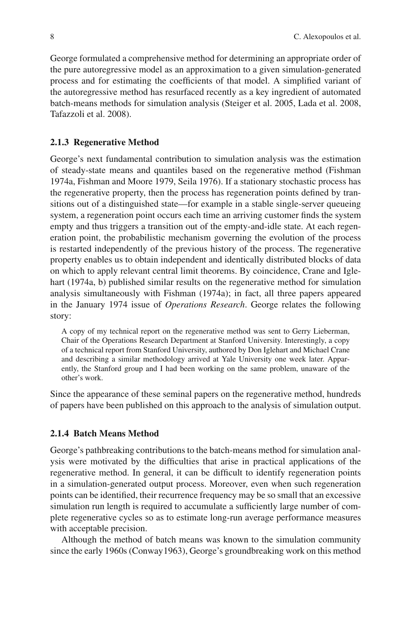George formulated a comprehensive method for determining an appropriate order of the pure autoregressive model as an approximation to a given simulation-generated process and for estimating the coefficients of that model. A simplified variant of the autoregressive method has resurfaced recently as a key ingredient of automated batch-means methods for simulation analysis [\(Steiger et al. 2005,](#page-17-2) [Lada et al. 2008,](#page-17-3) [Tafazzoli et al. 2008\)](#page-17-4).

### **2.1.3 Regenerative Method**

George's next fundamental contribution to simulation analysis was the estimation of steady-state means and quantiles based on the regenerative method [\(Fishman](#page-16-8) [1974a,](#page-16-8) [Fishman and Moore 1979](#page-17-5), [Seila 1976](#page-17-6)). If a stationary stochastic process has the regenerative property, then the process has regeneration points defined by transitions out of a distinguished state—for example in a stable single-server queueing system, a regeneration point occurs each time an arriving customer finds the system empty and thus triggers a transition out of the empty-and-idle state. At each regeneration point, the probabilistic mechanism governing the evolution of the process is restarted independently of the previous history of the process. The regenerative property enables us to obtain independent and identically distributed blocks of data on [which](#page-15-0) [to](#page-15-0) [apply](#page-15-0) [relevant](#page-15-0) [central](#page-15-0) [limit](#page-15-0) [theorems.](#page-15-0) [By](#page-15-0) [coincidence,](#page-15-0) Crane and Iglehart [\(1974a,](#page-15-0) b) published similar results on the regenerative method for simulation analysis simultaneously with [Fishman](#page-16-8) [\(1974a](#page-16-8)); in fact, all three papers appeared in the January 1974 issue of *Operations Research*. George relates the following story:

A copy of my technical report on the regenerative method was sent to Gerry Lieberman, Chair of the Operations Research Department at Stanford University. Interestingly, a copy of a technical report from Stanford University, authored by Don Iglehart and Michael Crane and describing a similar methodology arrived at Yale University one week later. Apparently, the Stanford group and I had been working on the same problem, unaware of the other's work.

Since the appearance of these seminal papers on the regenerative method, hundreds of papers have been published on this approach to the analysis of simulation output.

### **2.1.4 Batch Means Method**

George's pathbreaking contributions to the batch-means method for simulation analysis were motivated by the difficulties that arise in practical applications of the regenerative method. In general, it can be difficult to identify regeneration points in a simulation-generated output process. Moreover, even when such regeneration points can be identified, their recurrence frequency may be so small that an excessive simulation run length is required to accumulate a sufficiently large number of complete regenerative cycles so as to estimate long-run average performance measures with acceptable precision.

Although the method of batch means was known to the simulation community since the early 1960s [\(Conway1963](#page-15-1)), George's groundbreaking work on this method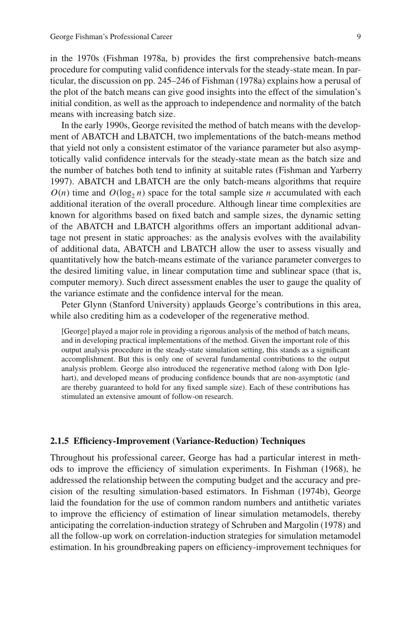in the 1970s [\(Fishman 1978a](#page-16-9), b) provides the first comprehensive batch-means procedure for computing valid confidence intervals for the steady-state mean. In particular, the discussion on pp. 245–246 of [Fishman](#page-16-9) [\(1978a\)](#page-16-9) explains how a perusal of the plot of the batch means can give good insights into the effect of the simulation's initial condition, as well as the approach to independence and normality of the batch means with increasing batch size.

In the early 1990s, George revisited the method of batch means with the development of ABATCH and LBATCH, two implementations of the batch-means method that yield not only a consistent estimator of the variance parameter but also asymptotically valid confidence intervals for the steady-state mean as the batch size and the number of batches both tend to infinity at suitable rates [\(Fishman and Yarberry](#page-17-7) [1997](#page-17-7)). ABATCH and LBATCH are the only batch-means algorithms that require  $O(n)$  time and  $O(\log_2 n)$  space for the total sample size *n* accumulated with each additional iteration of the overall procedure. Although linear time complexities are known for algorithms based on fixed batch and sample sizes, the dynamic setting of the ABATCH and LBATCH algorithms offers an important additional advantage not present in static approaches: as the analysis evolves with the availability of additional data, ABATCH and LBATCH allow the user to assess visually and quantitatively how the batch-means estimate of the variance parameter converges to the desired limiting value, in linear computation time and sublinear space (that is, computer memory). Such direct assessment enables the user to gauge the quality of the variance estimate and the confidence interval for the mean.

Peter Glynn (Stanford University) applauds George's contributions in this area, while also crediting him as a codeveloper of the regenerative method.

[George] played a major role in providing a rigorous analysis of the method of batch means, and in developing practical implementations of the method. Given the important role of this output analysis procedure in the steady-state simulation setting, this stands as a significant accomplishment. But this is only one of several fundamental contributions to the output analysis problem. George also introduced the regenerative method (along with Don Iglehart), and developed means of producing confidence bounds that are non-asymptotic (and are thereby guaranteed to hold for any fixed sample size). Each of these contributions has stimulated an extensive amount of follow-on research.

#### **2.1.5 Efficiency-Improvement (Variance-Reduction) Techniques**

Throughout his professional career, George has had a particular interest in methods to improve the efficiency of simulation experiments. In [Fishman](#page-16-10) [\(1968](#page-16-10)), he addressed the relationship between the computing budget and the accuracy and precision of the resulting simulation-based estimators. In [Fishman](#page-16-11) [\(1974b](#page-16-11)), George laid the foundation for the use of common random numbers and antithetic variates to improve the efficiency of estimation of linear simulation metamodels, thereby anticipating the correlation-induction strategy of [Schruben and Margolin](#page-17-8) [\(1978](#page-17-8)) and all the follow-up work on correlation-induction strategies for simulation metamodel estimation. In his groundbreaking papers on efficiency-improvement techniques for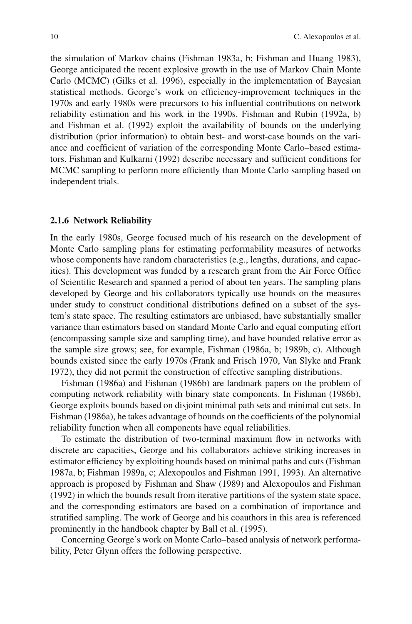the simulation of Markov chains [\(Fishman 1983a](#page-16-12), b; [Fishman and Huang 1983](#page-16-13)), George anticipated the recent explosive growth in the use of Markov Chain Monte Carlo (MCMC) [\(Gilks et al. 1996](#page-17-9)), especially in the implementation of Bayesian statistical methods. George's work on efficiency-improvement techniques in the 1970s and early 1980s were precursors to his influential contributions on network reliability estimation and his work in the 1990s. [Fishman and Rubin](#page-17-10) [\(1992a](#page-17-10), b) and Fishman et al. (1992) exploit the availability of bounds on the underlying distribution (prior information) to obtain best- and worst-case bounds on the variance and coefficient of variation of the corresponding Monte Carlo–based estimators. [Fishman and Kulkarni](#page-17-11) [\(1992\)](#page-17-11) describe necessary and sufficient conditions for MCMC sampling to perform more efficiently than Monte Carlo sampling based on independent trials.

### **2.1.6 Network Reliability**

In the early 1980s, George focused much of his research on the development of Monte Carlo sampling plans for estimating performability measures of networks whose components have random characteristics (e.g., lengths, durations, and capacities). This development was funded by a research grant from the Air Force Office of Scientific Research and spanned a period of about ten years. The sampling plans developed by George and his collaborators typically use bounds on the measures under study to construct conditional distributions defined on a subset of the system's state space. The resulting estimators are unbiased, have substantially smaller variance than estimators based on standard Monte Carlo and equal computing effort (encompassing sample size and sampling time), and have bounded relative error as the sample size grows; see, for example, [Fishman](#page-16-14) [\(1986a,](#page-16-14) b; [1989b](#page-16-15), c). Although bounds existed since the early 1970s [\(Frank and Frisch 1970](#page-17-12), [Van Slyke and Frank](#page-17-13) [1972](#page-17-13)[\),](#page-16-14) [they](#page-16-14) did not permit the construction of effective sampling distributions.

Fishman [\(1986a\)](#page-16-14) and [Fishman](#page-16-16) [\(1986b](#page-16-16)) are landmark papers on the problem of computing network reliability with binary state components. In [Fishman](#page-16-16) [\(1986b](#page-16-16)), George exploits bounds based on disjoint minimal path sets and minimal cut sets. In [Fishman](#page-16-14) [\(1986a](#page-16-14)), he takes advantage of bounds on the coefficients of the polynomial reliability function when all components have equal reliabilities.

To estimate the distribution of two-terminal maximum flow in networks with discrete arc capacities, George and his collaborators achieve striking increases in estimator efficiency by exploiting bounds based on minimal paths and cuts [\(Fishman](#page-16-17) [1987a,](#page-16-17) b; [Fishman 1989a](#page-16-18), c; [Alexopoulos and Fishman 1991,](#page-15-2) [1993\)](#page-15-3). An alternative approach is proposed by [Fishman and Shaw](#page-17-14) [\(1989\)](#page-17-14) and [Alexopoulos and Fishman](#page-15-4) [\(1992\)](#page-15-4) in which the bounds result from iterative partitions of the system state space, and the corresponding estimators are based on a combination of importance and stratified sampling. The work of George and his coauthors in this area is referenced prominently in the handbook chapter by [Ball et al.](#page-15-5) [\(1995\)](#page-15-5).

Concerning George's work on Monte Carlo–based analysis of network performability, Peter Glynn offers the following perspective.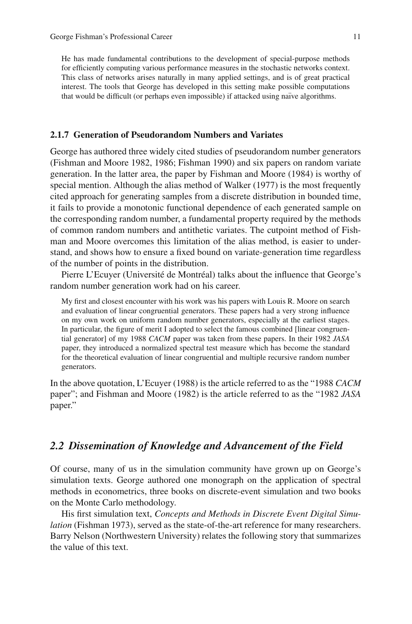He has made fundamental contributions to the development of special-purpose methods for efficiently computing various performance measures in the stochastic networks context. This class of networks arises naturally in many applied settings, and is of great practical interest. The tools that George has developed in this setting make possible computations that would be difficult (or perhaps even impossible) if attacked using naïve algorithms.

### **2.1.7 Generation of Pseudorandom Numbers and Variates**

George has authored three widely cited studies of pseudorandom number generators [\(Fishman and Moore 1982,](#page-17-15) [1986;](#page-17-16) [Fishman 1990](#page-16-19)) and six papers on random variate generation. In the latter area, the paper by [Fishman and Moore](#page-17-17) [\(1984\)](#page-17-17) is worthy of special mention. Although the alias method of [Walker](#page-18-1) [\(1977](#page-18-1)) is the most frequently cited approach for generating samples from a discrete distribution in bounded time, it fails to provide a monotonic functional dependence of each generated sample on the corresponding random number, a fundamental property required by the methods of common random numbers and antithetic variates. The cutpoint method of Fishman and Moore overcomes this limitation of the alias method, is easier to understand, and shows how to ensure a fixed bound on variate-generation time regardless of the number of points in the distribution.

Pierre L'Ecuyer (Université de Montréal) talks about the influence that George's random number generation work had on his career.

My first and closest encounter with his work was his papers with Louis R. Moore on search and evaluation of linear congruential generators. These papers had a very strong influence on my own work on uniform random number generators, especially at the earliest stages. In particular, the figure of merit I adopted to select the famous combined [linear congruential generator] of my 1988 *CACM* paper was taken from these papers. In their 1982 *JASA* paper, they introduced a normalized spectral test measure which has become the standard for the theoretical evaluation of linear congruential and multiple recursive random number generators.

In the above quotation, [L'Ecuyer](#page-17-18) [\(1988](#page-17-18)) is the article referred to as the "1988 *CACM* paper"; and [Fishman and Moore](#page-17-15) [\(1982](#page-17-15)) is the article referred to as the "1982 *JASA* paper."

### *2.2 Dissemination of Knowledge and Advancement of the Field*

Of course, many of us in the simulation community have grown up on George's simulation texts. George authored one monograph on the application of spectral methods in econometrics, three books on discrete-event simulation and two books on the Monte Carlo methodology.

His first simulation text, *Concepts and Methods in Discrete Event Digital Simulation* [\(Fishman 1973\)](#page-16-0), served as the state-of-the-art reference for many researchers. Barry Nelson (Northwestern University) relates the following story that summarizes the value of this text.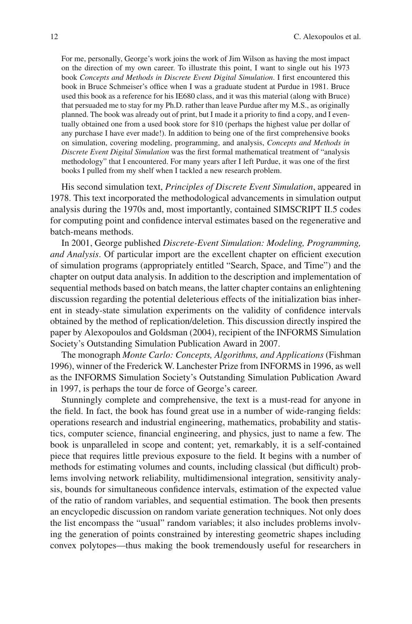For me, personally, George's work joins the work of Jim Wilson as having the most impact on the direction of my own career. To illustrate this point, I want to single out his 1973 book *Concepts and Methods in Discrete Event Digital Simulation*. I first encountered this book in Bruce Schmeiser's office when I was a graduate student at Purdue in 1981. Bruce used this book as a reference for his IE680 class, and it was this material (along with Bruce) that persuaded me to stay for my Ph.D. rather than leave Purdue after my M.S., as originally planned. The book was already out of print, but I made it a priority to find a copy, and I eventually obtained one from a used book store for \$10 (perhaps the highest value per dollar of any purchase I have ever made!). In addition to being one of the first comprehensive books on simulation, covering modeling, programming, and analysis, *Concepts and Methods in Discrete Event Digital Simulation* was the first formal mathematical treatment of "analysis methodology" that I encountered. For many years after I left Purdue, it was one of the first books I pulled from my shelf when I tackled a new research problem.

His second simulation text, *Principles of Discrete Event Simulation*, appeared in 1978. This text incorporated the methodological advancements in simulation output analysis during the 1970s and, most importantly, contained SIMSCRIPT II.5 codes for computing point and confidence interval estimates based on the regenerative and batch-means methods.

In 2001, George published *Discrete-Event Simulation: Modeling, Programming, and Analysis*. Of particular import are the excellent chapter on efficient execution of simulation programs (appropriately entitled "Search, Space, and Time") and the chapter on output data analysis. In addition to the description and implementation of sequential methods based on batch means, the latter chapter contains an enlightening discussion regarding the potential deleterious effects of the initialization bias inherent in steady-state simulation experiments on the validity of confidence intervals obtained by the method of replication/deletion. This discussion directly inspired the paper by [Alexopoulos and Goldsman](#page-15-6) [\(2004\)](#page-15-6), recipient of the INFORMS Simulation Society's Outstanding Simulation Publication Award in 2007.

The monograph *Monte Carlo: Concepts, Algorithms, and Applications* [\(Fishman](#page-16-1) [1996](#page-16-1)), winner of the Frederick W. Lanchester Prize from INFORMS in 1996, as well as the INFORMS Simulation Society's Outstanding Simulation Publication Award in 1997, is perhaps the tour de force of George's career.

Stunningly complete and comprehensive, the text is a must-read for anyone in the field. In fact, the book has found great use in a number of wide-ranging fields: operations research and industrial engineering, mathematics, probability and statistics, computer science, financial engineering, and physics, just to name a few. The book is unparalleled in scope and content; yet, remarkably, it is a self-contained piece that requires little previous exposure to the field. It begins with a number of methods for estimating volumes and counts, including classical (but difficult) problems involving network reliability, multidimensional integration, sensitivity analysis, bounds for simultaneous confidence intervals, estimation of the expected value of the ratio of random variables, and sequential estimation. The book then presents an encyclopedic discussion on random variate generation techniques. Not only does the list encompass the "usual" random variables; it also includes problems involving the generation of points constrained by interesting geometric shapes including convex polytopes—thus making the book tremendously useful for researchers in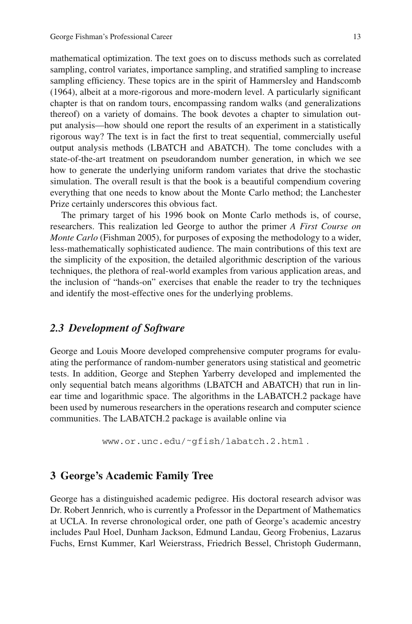mathematical optimization. The text goes on to discuss methods such as correlated sampling, control variates, importance sampling, and stratified sampling to increase sampling efficiency. These topics are in the spirit of [Hammersley and Handscomb](#page-17-19) [\(1964\)](#page-17-19), albeit at a more-rigorous and more-modern level. A particularly significant chapter is that on random tours, encompassing random walks (and generalizations thereof) on a variety of domains. The book devotes a chapter to simulation output analysis—how should one report the results of an experiment in a statistically rigorous way? The text is in fact the first to treat sequential, commercially useful output analysis methods (LBATCH and ABATCH). The tome concludes with a state-of-the-art treatment on pseudorandom number generation, in which we see how to generate the underlying uniform random variates that drive the stochastic simulation. The overall result is that the book is a beautiful compendium covering everything that one needs to know about the Monte Carlo method; the Lanchester Prize certainly underscores this obvious fact.

The primary target of his 1996 book on Monte Carlo methods is, of course, researchers. This realization led George to author the primer *A First Course on Monte Carlo* [\(Fishman 2005\)](#page-16-3), for purposes of exposing the methodology to a wider, less-mathematically sophisticated audience. The main contributions of this text are the simplicity of the exposition, the detailed algorithmic description of the various techniques, the plethora of real-world examples from various application areas, and the inclusion of "hands-on" exercises that enable the reader to try the techniques and identify the most-effective ones for the underlying problems.

### *2.3 Development of Software*

George and Louis Moore developed comprehensive computer programs for evaluating the performance of random-number generators using statistical and geometric tests. In addition, George and Stephen Yarberry developed and implemented the only sequential batch means algorithms (LBATCH and ABATCH) that run in linear time and logarithmic space. The algorithms in the LABATCH.2 package have been used by numerous researchers in the operations research and computer science communities. The LABATCH.2 package is available online via

### **3 George's Academic Family Tree**

George has a distinguished academic pedigree. His doctoral research advisor was Dr. Robert Jennrich, who is currently a Professor in the Department of Mathematics at UCLA. In reverse chronological order, one path of George's academic ancestry includes Paul Hoel, Dunham Jackson, Edmund Landau, Georg Frobenius, Lazarus Fuchs, Ernst Kummer, Karl Weierstrass, Friedrich Bessel, Christoph Gudermann,

[www.or.unc.edu/˜gfish/labatch.2.html](www.or.unc.edu/~gfish/labatch.2.html) .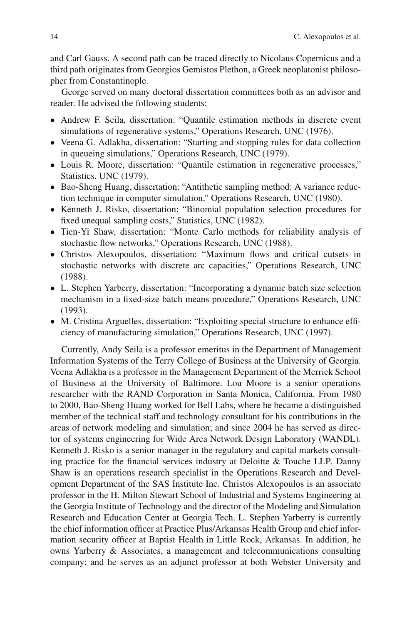and Carl Gauss. A second path can be traced directly to Nicolaus Copernicus and a third path originates from Georgios Gemistos Plethon, a Greek neoplatonist philosopher from Constantinople.

George served on many doctoral dissertation committees both as an advisor and reader. He advised the following students:

- Andrew F. Seila, dissertation: "Quantile estimation methods in discrete event simulations of regenerative systems," Operations Research, UNC (1976).
- Veena G. Adlakha, dissertation: "Starting and stopping rules for data collection in queueing simulations," Operations Research, UNC (1979).
- Louis R. Moore, dissertation: "Quantile estimation in regenerative processes," Statistics, UNC (1979).
- Bao-Sheng Huang, dissertation: "Antithetic sampling method: A variance reduction technique in computer simulation," Operations Research, UNC (1980).
- Kenneth J. Risko, dissertation: "Binomial population selection procedures for fixed unequal sampling costs," Statistics, UNC (1982).
- Tien-Yi Shaw, dissertation: "Monte Carlo methods for reliability analysis of stochastic flow networks," Operations Research, UNC (1988).
- Christos Alexopoulos, dissertation: "Maximum flows and critical cutsets in stochastic networks with discrete arc capacities," Operations Research, UNC (1988).
- L. Stephen Yarberry, dissertation: "Incorporating a dynamic batch size selection mechanism in a fixed-size batch means procedure," Operations Research, UNC (1993).
- M. Cristina Arguelles, dissertation: "Exploiting special structure to enhance efficiency of manufacturing simulation," Operations Research, UNC (1997).

Currently, Andy Seila is a professor emeritus in the Department of Management Information Systems of the Terry College of Business at the University of Georgia. Veena Adlakha is a professor in the Management Department of the Merrick School of Business at the University of Baltimore. Lou Moore is a senior operations researcher with the RAND Corporation in Santa Monica, California. From 1980 to 2000, Bao-Sheng Huang worked for Bell Labs, where he became a distinguished member of the technical staff and technology consultant for his contributions in the areas of network modeling and simulation; and since 2004 he has served as director of systems engineering for Wide Area Network Design Laboratory (WANDL). Kenneth J. Risko is a senior manager in the regulatory and capital markets consulting practice for the financial services industry at Deloitte & Touche LLP. Danny Shaw is an operations research specialist in the Operations Research and Development Department of the SAS Institute Inc. Christos Alexopoulos is an associate professor in the H. Milton Stewart School of Industrial and Systems Engineering at the Georgia Institute of Technology and the director of the Modeling and Simulation Research and Education Center at Georgia Tech. L. Stephen Yarberry is currently the chief information officer at Practice Plus/Arkansas Health Group and chief information security officer at Baptist Health in Little Rock, Arkansas. In addition, he owns Yarberry & Associates, a management and telecommunications consulting company; and he serves as an adjunct professor at both Webster University and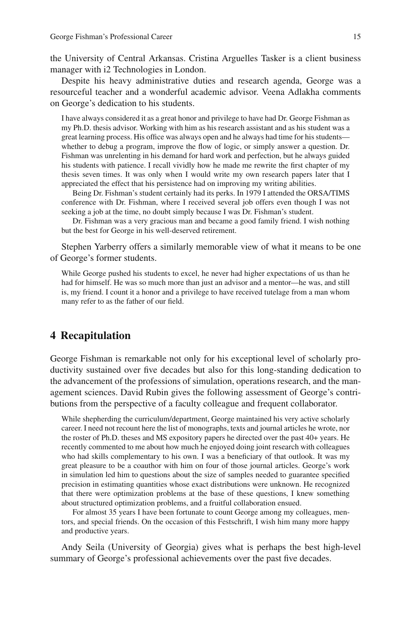the University of Central Arkansas. Cristina Arguelles Tasker is a client business manager with i2 Technologies in London.

Despite his heavy administrative duties and research agenda, George was a resourceful teacher and a wonderful academic advisor. Veena Adlakha comments on George's dedication to his students.

I have always considered it as a great honor and privilege to have had Dr. George Fishman as my Ph.D. thesis advisor. Working with him as his research assistant and as his student was a great learning process. His office was always open and he always had time for his students whether to debug a program, improve the flow of logic, or simply answer a question. Dr. Fishman was unrelenting in his demand for hard work and perfection, but he always guided his students with patience. I recall vividly how he made me rewrite the first chapter of my thesis seven times. It was only when I would write my own research papers later that I appreciated the effect that his persistence had on improving my writing abilities.

Being Dr. Fishman's student certainly had its perks. In 1979 I attended the ORSA/TIMS conference with Dr. Fishman, where I received several job offers even though I was not seeking a job at the time, no doubt simply because I was Dr. Fishman's student.

Dr. Fishman was a very gracious man and became a good family friend. I wish nothing but the best for George in his well-deserved retirement.

Stephen Yarberry offers a similarly memorable view of what it means to be one of George's former students.

While George pushed his students to excel, he never had higher expectations of us than he had for himself. He was so much more than just an advisor and a mentor—he was, and still is, my friend. I count it a honor and a privilege to have received tutelage from a man whom many refer to as the father of our field.

# **4 Recapitulation**

George Fishman is remarkable not only for his exceptional level of scholarly productivity sustained over five decades but also for this long-standing dedication to the advancement of the professions of simulation, operations research, and the management sciences. David Rubin gives the following assessment of George's contributions from the perspective of a faculty colleague and frequent collaborator.

While shepherding the curriculum/department, George maintained his very active scholarly career. I need not recount here the list of monographs, texts and journal articles he wrote, nor the roster of Ph.D. theses and MS expository papers he directed over the past 40+ years. He recently commented to me about how much he enjoyed doing joint research with colleagues who had skills complementary to his own. I was a beneficiary of that outlook. It was my great pleasure to be a coauthor with him on four of those journal articles. George's work in simulation led him to questions about the size of samples needed to guarantee specified precision in estimating quantities whose exact distributions were unknown. He recognized that there were optimization problems at the base of these questions, I knew something about structured optimization problems, and a fruitful collaboration ensued.

For almost 35 years I have been fortunate to count George among my colleagues, mentors, and special friends. On the occasion of this Festschrift, I wish him many more happy and productive years.

Andy Seila (University of Georgia) gives what is perhaps the best high-level summary of George's professional achievements over the past five decades.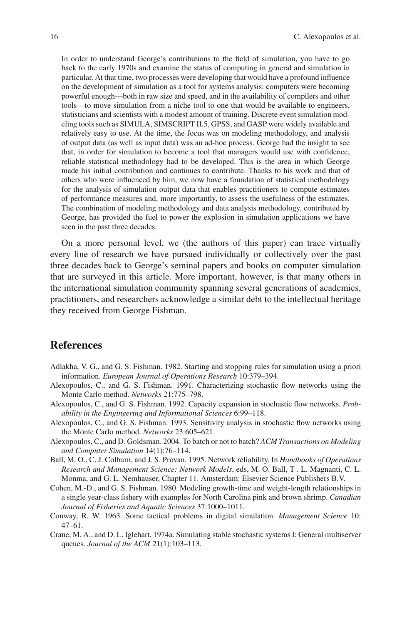In order to understand George's contributions to the field of simulation, you have to go back to the early 1970s and examine the status of computing in general and simulation in particular. At that time, two processes were developing that would have a profound influence on the development of simulation as a tool for systems analysis: computers were becoming powerful enough—both in raw size and speed, and in the availability of compilers and other tools—to move simulation from a niche tool to one that would be available to engineers, statisticians and scientists with a modest amount of training. Discrete event simulation modeling tools such as SIMULA, SIMSCRIPT II.5, GPSS, and GASP were widely available and relatively easy to use. At the time, the focus was on modeling methodology, and analysis of output data (as well as input data) was an ad-hoc process. George had the insight to see that, in order for simulation to become a tool that managers would use with confidence, reliable statistical methodology had to be developed. This is the area in which George made his initial contribution and continues to contribute. Thanks to his work and that of others who were influenced by him, we now have a foundation of statistical methodology for the analysis of simulation output data that enables practitioners to compute estimates of performance measures and, more importantly, to assess the usefulness of the estimates. The combination of modeling methodology and data analysis methodology, contributed by George, has provided the fuel to power the explosion in simulation applications we have seen in the past three decades.

On a more personal level, we (the authors of this paper) can trace virtually every line of research we have pursued individually or collectively over the past three decades back to George's seminal papers and books on computer simulation that are surveyed in this article. More important, however, is that many others in the international simulation community spanning several generations of academics, practitioners, and researchers acknowledge a similar debt to the intellectual heritage they received from George Fishman.

### **References**

- Adlakha, V. G., and G. S. Fishman. 1982. Starting and stopping rules for simulation using a priori information. *European Journal of Operations Research* 10:379–394.
- <span id="page-15-2"></span>Alexopoulos, C., and G. S. Fishman. 1991. Characterizing stochastic flow networks using the Monte Carlo method. *Networks* 21:775–798.
- <span id="page-15-4"></span>Alexopoulos, C., and G. S. Fishman. 1992. Capacity expansion in stochastic flow networks. *Probability in the Engineering and Informational Sciences* 6:99–118.
- <span id="page-15-3"></span>Alexopoulos, C., and G. S. Fishman. 1993. Sensitivity analysis in stochastic flow networks using the Monte Carlo method. *Networks* 23:605–621.
- <span id="page-15-6"></span>Alexopoulos, C., and D. Goldsman. 2004. To batch or not to batch? *ACM Transactions on Modeling and Computer Simulation* 14(1):76–114.
- <span id="page-15-5"></span>Ball, M. O., C. J. Colburn, and J. S. Provan. 1995. Network reliability. In *Handbooks of Operations Research and Management Science: Network Models*, eds, M. O. Ball, T . L. Magnanti, C. L. Monma, and G. L. Nemhauser, Chapter 11. Amsterdam: Elsevier Science Publishers B.V.
- Cohen, M.-D., and G. S. Fishman. 1980. Modeling growth-time and weight-length relationships in a single year-class fishery with examples for North Carolina pink and brown shrimp. *Canadian Journal of Fisheries and Aquatic Sciences* 37:1000–1011.
- <span id="page-15-1"></span>Conway, R. W. 1963. Some tactical problems in digital simulation. *Management Science* 10: 47–61.
- <span id="page-15-0"></span>Crane, M. A., and D. L. Iglehart. 1974a. Simulating stable stochastic systems I: General multiserver queues. *Journal of the ACM* 21(1):103–113.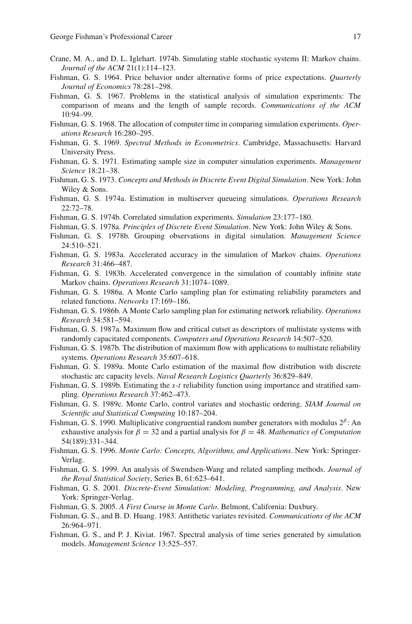- Crane, M. A., and D. L. Iglehart. 1974b. Simulating stable stochastic systems II: Markov chains. *Journal of the ACM* 21(1):114–123.
- <span id="page-16-4"></span>Fishman, G. S. 1964. Price behavior under alternative forms of price expectations. *Quarterly Journal of Economics* 78:281–298.
- Fishman, G. S. 1967. Problems in the statistical analysis of simulation experiments: The comparison of means and the length of sample records. *Communications of the ACM* 10:94–99.
- <span id="page-16-10"></span>Fishman, G. S. 1968. The allocation of computer time in comparing simulation experiments. *Operations Research* 16:280–295.
- <span id="page-16-5"></span>Fishman, G. S. 1969. *Spectral Methods in Econometrics*. Cambridge, Massachusetts: Harvard University Press.
- <span id="page-16-7"></span>Fishman, G. S. 1971. Estimating sample size in computer simulation experiments. *Management Science* 18:21–38.
- <span id="page-16-0"></span>Fishman, G. S. 1973. *Concepts and Methods in Discrete Event Digital Simulation*. New York: John Wiley & Sons.
- <span id="page-16-8"></span>Fishman, G. S. 1974a. Estimation in multiserver queueing simulations. *Operations Research* 22:72–78.
- <span id="page-16-11"></span>Fishman, G. S. 1974b. Correlated simulation experiments. *Simulation* 23:177–180.
- <span id="page-16-9"></span>Fishman, G. S. 1978a. *Principles of Discrete Event Simulation*. New York: John Wiley & Sons.
- Fishman, G. S. 1978b. Grouping observations in digital simulation. *Management Science* 24:510–521.
- <span id="page-16-12"></span>Fishman, G. S. 1983a. Accelerated accuracy in the simulation of Markov chains. *Operations Research* 31:466–487.
- Fishman, G. S. 1983b. Accelerated convergence in the simulation of countably infinite state Markov chains. *Operations Research* 31:1074–1089.
- <span id="page-16-16"></span><span id="page-16-14"></span>Fishman, G. S. 1986a. A Monte Carlo sampling plan for estimating reliability parameters and related functions. *Networks* 17:169–186.
- Fishman, G. S. 1986b. A Monte Carlo sampling plan for estimating network reliability. *Operations Research* 34:581–594.
- <span id="page-16-17"></span>Fishman, G. S. 1987a. Maximum flow and critical cutset as descriptors of multistate systems with randomly capacitated components. *Computers and Operations Research* 14:507–520.
- Fishman, G. S. 1987b. The distribution of maximum flow with applications to multistate reliability systems. *Operations Research* 35:607–618.
- <span id="page-16-18"></span>Fishman, G. S. 1989a. Monte Carlo estimation of the maximal flow distribution with discrete stochastic arc capacity levels. *Naval Research Logistics Quarterly* 36:829–849.
- <span id="page-16-15"></span>Fishman, G. S. 1989b. Estimating the *s*-*t* reliability function using importance and stratified sampling. *Operations Research* 37:462–473.
- Fishman, G. S. 1989c. Monte Carlo, control variates and stochastic ordering. *SIAM Journal on Scientific and Statistical Computing* 10:187–204.
- <span id="page-16-19"></span>Fishman, G. S. 1990. Multiplicative congruential random number generators with modulus  $2^{\beta}$ : An exhaustive analysis for  $\beta = 32$  and a partial analysis for  $\beta = 48$ . *Mathematics of Computation* 54(189):331–344.
- <span id="page-16-1"></span>Fishman, G. S. 1996. *Monte Carlo: Concepts, Algorithms, and Applications*. New York: Springer-Verlag.
- Fishman, G. S. 1999. An analysis of Swendsen-Wang and related sampling methods. *Journal of the Royal Statistical Society*, Series B, 61:623–641.
- <span id="page-16-2"></span>Fishman, G. S. 2001. *Discrete-Event Simulation: Modeling, Programming, and Analysis*. New York: Springer-Verlag.
- <span id="page-16-3"></span>Fishman, G. S. 2005. *A First Course in Monte Carlo*. Belmont, California: Duxbury.
- <span id="page-16-13"></span>Fishman, G. S., and B. D. Huang. 1983. Antithetic variates revisited. *Communications of the ACM* 26:964–971.
- <span id="page-16-6"></span>Fishman, G. S., and P. J. Kiviat. 1967. Spectral analysis of time series generated by simulation models. *Management Science* 13:525–557.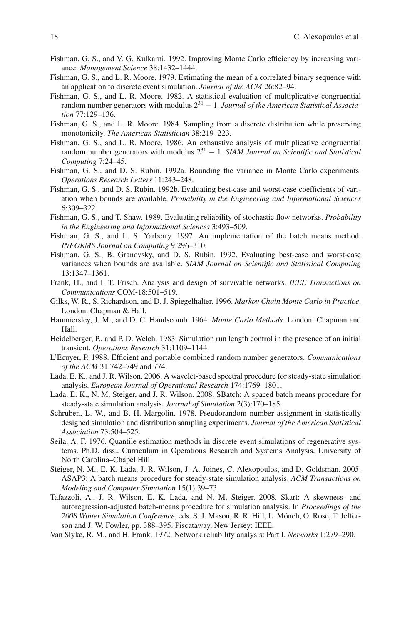- <span id="page-17-11"></span>Fishman, G. S., and V. G. Kulkarni. 1992. Improving Monte Carlo efficiency by increasing variance. *Management Science* 38:1432–1444.
- <span id="page-17-5"></span>Fishman, G. S., and L. R. Moore. 1979. Estimating the mean of a correlated binary sequence with an application to discrete event simulation. *Journal of the ACM* 26:82–94.
- <span id="page-17-15"></span>Fishman, G. S., and L. R. Moore. 1982. A statistical evaluation of multiplicative congruential random number generators with modulus 2<sup>31</sup> − 1. *Journal of the American Statistical Association* 77:129–136.
- <span id="page-17-17"></span>Fishman, G. S., and L. R. Moore. 1984. Sampling from a discrete distribution while preserving monotonicity. *The American Statistician* 38:219–223.
- <span id="page-17-16"></span>Fishman, G. S., and L. R. Moore. 1986. An exhaustive analysis of multiplicative congruential random number generators with modulus 2<sup>31</sup> − 1. *SIAM Journal on Scientific and Statistical Computing* 7:24–45.
- Fishman, G. S., and D. S. Rubin. 1992a. Bounding the variance in Monte Carlo experiments. *Operations Research Letters* 11:243–248.
- Fishman, G. S., and D. S. Rubin. 1992b. Evaluating best-case and worst-case coefficients of variation when bounds are available. *Probability in the Engineering and Informational Sciences* 6:309–322.
- <span id="page-17-14"></span>Fishman, G. S., and T. Shaw. 1989. Evaluating reliability of stochastic flow networks. *Probability in the Engineering and Informational Sciences* 3:493–509.
- <span id="page-17-7"></span>Fishman, G. S., and L. S. Yarberry. 1997. An implementation of the batch means method. *INFORMS Journal on Computing* 9:296–310.
- <span id="page-17-10"></span>Fishman, G. S., B. Granovsky, and D. S. Rubin. 1992. Evaluating best-case and worst-case variances when bounds are available. *SIAM Journal on Scientific and Statistical Computing* 13:1347–1361.
- <span id="page-17-12"></span>Frank, H., and I. T. Frisch. Analysis and design of survivable networks. *IEEE Transactions on Communications* COM-18:501–519.
- <span id="page-17-9"></span>Gilks, W. R., S. Richardson, and D. J. Spiegelhalter. 1996. *Markov Chain Monte Carlo in Practice*. London: Chapman & Hall.
- <span id="page-17-19"></span>Hammersley, J. M., and D. C. Handscomb. 1964. *Monte Carlo Methods*. London: Chapman and Hall.
- <span id="page-17-0"></span>Heidelberger, P., and P. D. Welch. 1983. Simulation run length control in the presence of an initial transient. *Operations Research* 31:1109–1144.
- <span id="page-17-18"></span>L'Ecuyer, P. 1988. Efficient and portable combined random number generators. *Communications of the ACM* 31:742–749 and 774.
- <span id="page-17-1"></span>Lada, E. K., and J. R. Wilson. 2006. A wavelet-based spectral procedure for steady-state simulation analysis. *European Journal of Operational Research* 174:1769–1801.
- <span id="page-17-3"></span>Lada, E. K., N. M. Steiger, and J. R. Wilson. 2008. SBatch: A spaced batch means procedure for steady-state simulation analysis. *Journal of Simulation* 2(3):170–185.
- <span id="page-17-8"></span>Schruben, L. W., and B. H. Margolin. 1978. Pseudorandom number assignment in statistically designed simulation and distribution sampling experiments. *Journal of the American Statistical Association* 73:504–525.
- <span id="page-17-6"></span>Seila, A. F. 1976. Quantile estimation methods in discrete event simulations of regenerative systems. Ph.D. diss., Curriculum in Operations Research and Systems Analysis, University of North Carolina–Chapel Hill.
- <span id="page-17-2"></span>Steiger, N. M., E. K. Lada, J. R. Wilson, J. A. Joines, C. Alexopoulos, and D. Goldsman. 2005. ASAP3: A batch means procedure for steady-state simulation analysis. *ACM Transactions on Modeling and Computer Simulation* 15(1):39–73.
- <span id="page-17-4"></span>Tafazzoli, A., J. R. Wilson, E. K. Lada, and N. M. Steiger. 2008. Skart: A skewness- and autoregression-adjusted batch-means procedure for simulation analysis. In *Proceedings of the 2008 Winter Simulation Conference*, eds. S. J. Mason, R. R. Hill, L. Monch, O. Rose, T. Jeffer- ¨ son and J. W. Fowler, pp. 388–395. Piscataway, New Jersey: IEEE.
- <span id="page-17-13"></span>Van Slyke, R. M., and H. Frank. 1972. Network reliability analysis: Part I. *Networks* 1:279–290.